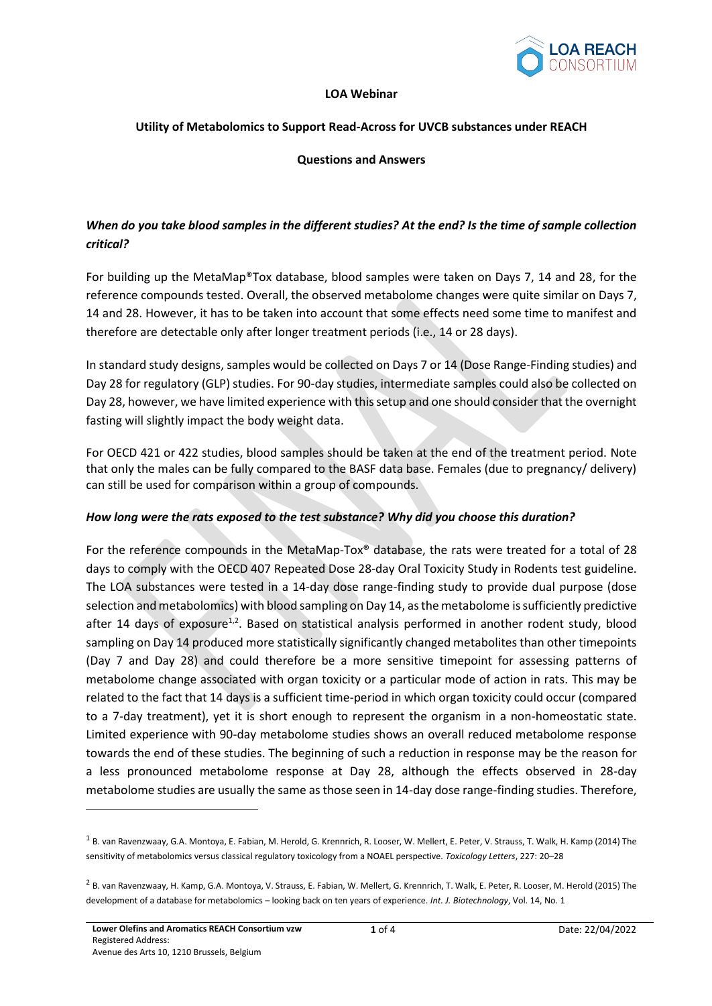

#### **LOA Webinar**

#### **Utility of Metabolomics to Support Read-Across for UVCB substances under REACH**

#### **Questions and Answers**

# *When do you take blood samples in the different studies? At the end? Is the time of sample collection critical?*

For building up the MetaMap®Tox database, blood samples were taken on Days 7, 14 and 28, for the reference compounds tested. Overall, the observed metabolome changes were quite similar on Days 7, 14 and 28. However, it has to be taken into account that some effects need some time to manifest and therefore are detectable only after longer treatment periods (i.e., 14 or 28 days).

In standard study designs, samples would be collected on Days 7 or 14 (Dose Range-Finding studies) and Day 28 for regulatory (GLP) studies. For 90-day studies, intermediate samples could also be collected on Day 28, however, we have limited experience with this setup and one should consider that the overnight fasting will slightly impact the body weight data.

For OECD 421 or 422 studies, blood samples should be taken at the end of the treatment period. Note that only the males can be fully compared to the BASF data base. Females (due to pregnancy/ delivery) can still be used for comparison within a group of compounds.

#### *How long were the rats exposed to the test substance? Why did you choose this duration?*

For the reference compounds in the MetaMap-Tox® database, the rats were treated for a total of 28 days to comply with the OECD 407 Repeated Dose 28-day Oral Toxicity Study in Rodents test guideline. The LOA substances were tested in a 14-day dose range-finding study to provide dual purpose (dose selection and metabolomics) with blood sampling on Day 14, as the metabolome is sufficiently predictive after 14 days of exposure<sup>1,2</sup>. Based on statistical analysis performed in another rodent study, blood sampling on Day 14 produced more statistically significantly changed metabolites than other timepoints (Day 7 and Day 28) and could therefore be a more sensitive timepoint for assessing patterns of metabolome change associated with organ toxicity or a particular mode of action in rats. This may be related to the fact that 14 days is a sufficient time-period in which organ toxicity could occur (compared to a 7-day treatment), yet it is short enough to represent the organism in a non-homeostatic state. Limited experience with 90-day metabolome studies shows an overall reduced metabolome response towards the end of these studies. The beginning of such a reduction in response may be the reason for a less pronounced metabolome response at Day 28, although the effects observed in 28-day metabolome studies are usually the same as those seen in 14-day dose range-finding studies. Therefore,

<sup>&</sup>lt;sup>1</sup> B. van Ravenzwaay, G.A. Montoya, E. Fabian, M. Herold, G. Krennrich, R. Looser, W. Mellert, E. Peter, V. Strauss, T. Walk, H. Kamp (2014) The sensitivity of metabolomics versus classical regulatory toxicology from a NOAEL perspective. *Toxicology Letters*, 227: 20–28

<sup>&</sup>lt;sup>2</sup> B. van Ravenzwaay, H. Kamp, G.A. Montoya, V. Strauss, E. Fabian, W. Mellert, G. Krennrich, T. Walk, E. Peter, R. Looser, M. Herold (2015) The development of a database for metabolomics – looking back on ten years of experience. *Int. J. Biotechnology*, Vol. 14, No. 1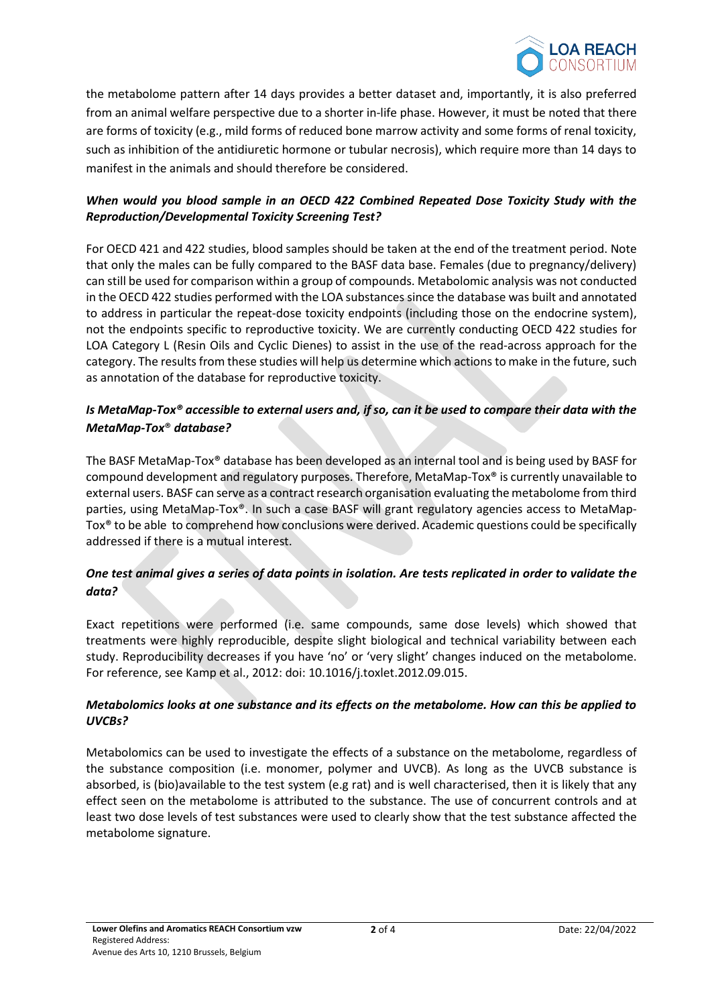

the metabolome pattern after 14 days provides a better dataset and, importantly, it is also preferred from an animal welfare perspective due to a shorter in-life phase. However, it must be noted that there are forms of toxicity (e.g., mild forms of reduced bone marrow activity and some forms of renal toxicity, such as inhibition of the antidiuretic hormone or tubular necrosis), which require more than 14 days to manifest in the animals and should therefore be considered.

## *When would you blood sample in an OECD 422 Combined Repeated Dose Toxicity Study with the Reproduction/Developmental Toxicity Screening Test?*

For OECD 421 and 422 studies, blood samples should be taken at the end of the treatment period. Note that only the males can be fully compared to the BASF data base. Females (due to pregnancy/delivery) can still be used for comparison within a group of compounds. Metabolomic analysis was not conducted in the OECD 422 studies performed with the LOA substances since the database was built and annotated to address in particular the repeat-dose toxicity endpoints (including those on the endocrine system), not the endpoints specific to reproductive toxicity. We are currently conducting OECD 422 studies for LOA Category L (Resin Oils and Cyclic Dienes) to assist in the use of the read-across approach for the category. The results from these studies will help us determine which actions to make in the future, such as annotation of the database for reproductive toxicity.

# *Is MetaMap-Tox® accessible to external users and, if so, can it be used to compare their data with the MetaMap-Tox*® *database?*

The BASF MetaMap-Tox® database has been developed as an internal tool and is being used by BASF for compound development and regulatory purposes. Therefore, MetaMap-Tox® is currently unavailable to external users. BASF can serve as a contract research organisation evaluating the metabolome from third parties, using MetaMap-Tox®. In such a case BASF will grant regulatory agencies access to MetaMap-Tox® to be able to comprehend how conclusions were derived. Academic questions could be specifically addressed if there is a mutual interest.

# *One test animal gives a series of data points in isolation. Are tests replicated in order to validate the data?*

Exact repetitions were performed (i.e. same compounds, same dose levels) which showed that treatments were highly reproducible, despite slight biological and technical variability between each study. Reproducibility decreases if you have 'no' or 'very slight' changes induced on the metabolome. For reference, see Kamp et al., 2012: doi: 10.1016/j.toxlet.2012.09.015.

## *Metabolomics looks at one substance and its effects on the metabolome. How can this be applied to UVCBs?*

Metabolomics can be used to investigate the effects of a substance on the metabolome, regardless of the substance composition (i.e. monomer, polymer and UVCB). As long as the UVCB substance is absorbed, is (bio)available to the test system (e.g rat) and is well characterised, then it is likely that any effect seen on the metabolome is attributed to the substance. The use of concurrent controls and at least two dose levels of test substances were used to clearly show that the test substance affected the metabolome signature.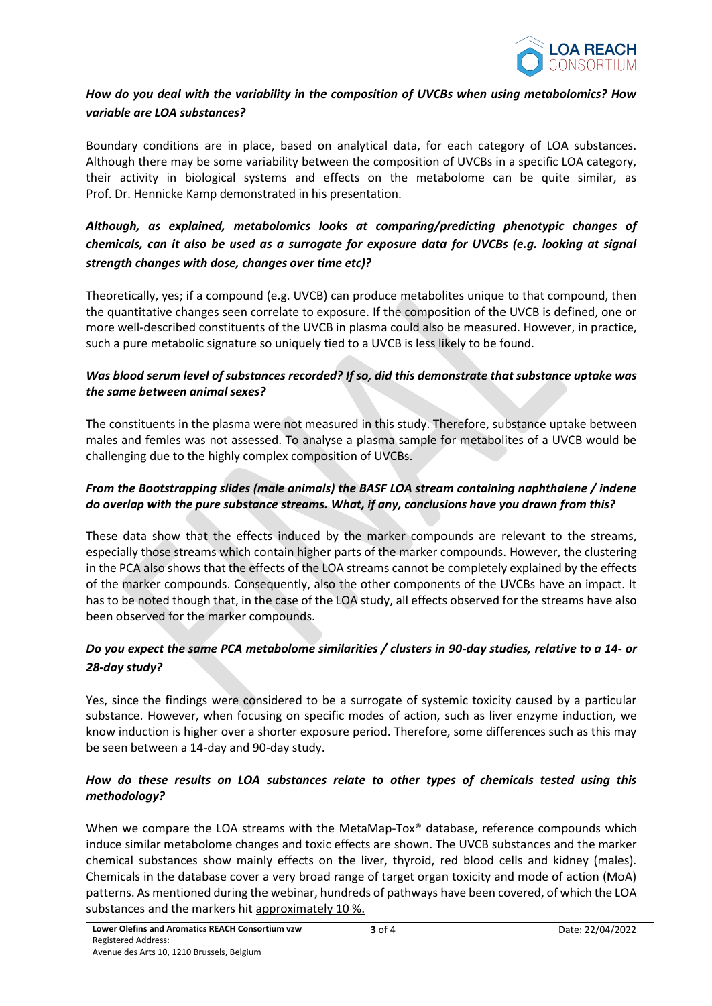

# *How do you deal with the variability in the composition of UVCBs when using metabolomics? How variable are LOA substances?*

Boundary conditions are in place, based on analytical data, for each category of LOA substances. Although there may be some variability between the composition of UVCBs in a specific LOA category, their activity in biological systems and effects on the metabolome can be quite similar, as Prof. Dr. Hennicke Kamp demonstrated in his presentation.

# *Although, as explained, metabolomics looks at comparing/predicting phenotypic changes of chemicals, can it also be used as a surrogate for exposure data for UVCBs (e.g. looking at signal strength changes with dose, changes over time etc)?*

Theoretically, yes; if a compound (e.g. UVCB) can produce metabolites unique to that compound, then the quantitative changes seen correlate to exposure. If the composition of the UVCB is defined, one or more well-described constituents of the UVCB in plasma could also be measured. However, in practice, such a pure metabolic signature so uniquely tied to a UVCB is less likely to be found.

## *Was blood serum level of substances recorded? If so, did this demonstrate that substance uptake was the same between animal sexes?*

The constituents in the plasma were not measured in this study. Therefore, substance uptake between males and femles was not assessed. To analyse a plasma sample for metabolites of a UVCB would be challenging due to the highly complex composition of UVCBs.

## *From the Bootstrapping slides (male animals) the BASF LOA stream containing naphthalene / indene do overlap with the pure substance streams. What, if any, conclusions have you drawn from this?*

These data show that the effects induced by the marker compounds are relevant to the streams, especially those streams which contain higher parts of the marker compounds. However, the clustering in the PCA also shows that the effects of the LOA streams cannot be completely explained by the effects of the marker compounds. Consequently, also the other components of the UVCBs have an impact. It has to be noted though that, in the case of the LOA study, all effects observed for the streams have also been observed for the marker compounds.

## *Do you expect the same PCA metabolome similarities / clusters in 90-day studies, relative to a 14- or 28-day study?*

Yes, since the findings were considered to be a surrogate of systemic toxicity caused by a particular substance. However, when focusing on specific modes of action, such as liver enzyme induction, we know induction is higher over a shorter exposure period. Therefore, some differences such as this may be seen between a 14-day and 90-day study.

## *How do these results on LOA substances relate to other types of chemicals tested using this methodology?*

When we compare the LOA streams with the MetaMap-Tox® database, reference compounds which induce similar metabolome changes and toxic effects are shown. The UVCB substances and the marker chemical substances show mainly effects on the liver, thyroid, red blood cells and kidney (males). Chemicals in the database cover a very broad range of target organ toxicity and mode of action (MoA) patterns. As mentioned during the webinar, hundreds of pathways have been covered, of which the LOA substances and the markers hit approximately 10 %.